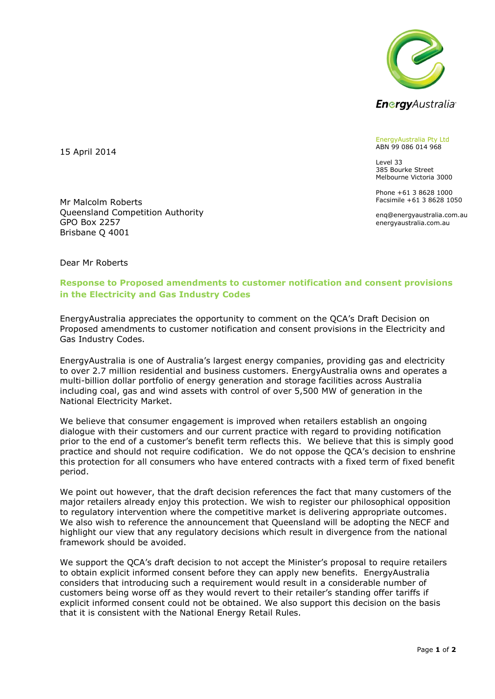

EnergyAustralia Pty Ltd ABN 99 086 014 968

Level 33 385 Bourke Street Melbourne Victoria 3000

Phone +61 3 8628 1000 Facsimile +61 3 8628 1050

enq@energyaustralia.com.au energyaustralia.com.au

15 April 2014

Mr Malcolm Roberts Queensland Competition Authority GPO Box 2257 Brisbane Q 4001

Dear Mr Roberts

## **Response to Proposed amendments to customer notification and consent provisions in the Electricity and Gas Industry Codes**

EnergyAustralia appreciates the opportunity to comment on the QCA's Draft Decision on Proposed amendments to customer notification and consent provisions in the Electricity and Gas Industry Codes.

EnergyAustralia is one of Australia's largest energy companies, providing gas and electricity to over 2.7 million residential and business customers. EnergyAustralia owns and operates a multi-billion dollar portfolio of energy generation and storage facilities across Australia including coal, gas and wind assets with control of over 5,500 MW of generation in the National Electricity Market.

We believe that consumer engagement is improved when retailers establish an ongoing dialogue with their customers and our current practice with regard to providing notification prior to the end of a customer's benefit term reflects this. We believe that this is simply good practice and should not require codification. We do not oppose the QCA's decision to enshrine this protection for all consumers who have entered contracts with a fixed term of fixed benefit period.

We point out however, that the draft decision references the fact that many customers of the major retailers already enjoy this protection. We wish to register our philosophical opposition to regulatory intervention where the competitive market is delivering appropriate outcomes. We also wish to reference the announcement that Queensland will be adopting the NECF and highlight our view that any regulatory decisions which result in divergence from the national framework should be avoided.

We support the QCA's draft decision to not accept the Minister's proposal to require retailers to obtain explicit informed consent before they can apply new benefits. EnergyAustralia considers that introducing such a requirement would result in a considerable number of customers being worse off as they would revert to their retailer's standing offer tariffs if explicit informed consent could not be obtained. We also support this decision on the basis that it is consistent with the National Energy Retail Rules.